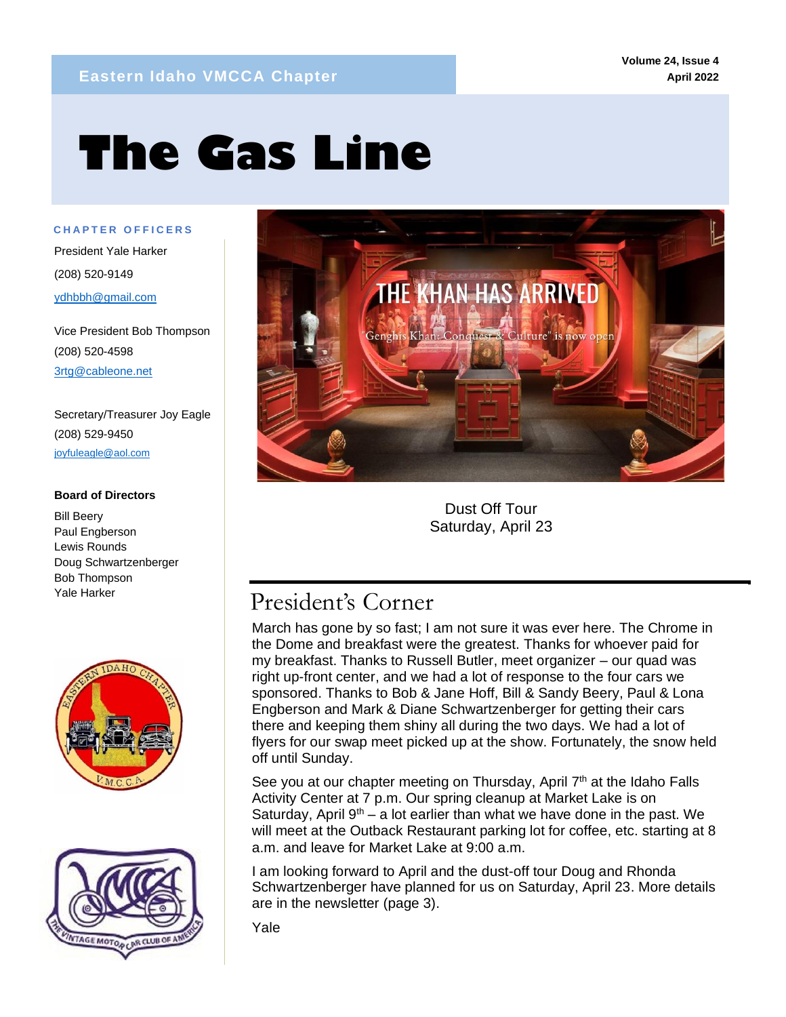# **The Gas Line**

**C H A P T E R O F F I C E R S**

mm

President Yale Harker (208) 520-9149 ydhbbh@gmail.com

Vice President Bob Thompson (208) 520-4598 3rtg@cableone.net

Secretary/Treasurer Joy Eagle (208) 529-9450 joyfuleagle@aol.com

#### **Board of Directors**

Bill Beery Paul Engberson Lewis Rounds Doug Schwartzenberger Bob Thompson Yale Harker







Dust Off Tour Saturday, April 23

# President's Corner

March has gone by so fast; I am not sure it was ever here. The Chrome in the Dome and breakfast were the greatest. Thanks for whoever paid for my breakfast. Thanks to Russell Butler, meet organizer – our quad was right up-front center, and we had a lot of response to the four cars we sponsored. Thanks to Bob & Jane Hoff, Bill & Sandy Beery, Paul & Lona Engberson and Mark & Diane Schwartzenberger for getting their cars there and keeping them shiny all during the two days. We had a lot of flyers for our swap meet picked up at the show. Fortunately, the snow held off until Sunday.

See you at our chapter meeting on Thursday, April 7<sup>th</sup> at the Idaho Falls Activity Center at 7 p.m. Our spring cleanup at Market Lake is on Saturday, April  $9<sup>th</sup> - a$  lot earlier than what we have done in the past. We will meet at the Outback Restaurant parking lot for coffee, etc. starting at 8 a.m. and leave for Market Lake at 9:00 a.m.

I am looking forward to April and the dust-off tour Doug and Rhonda Schwartzenberger have planned for us on Saturday, April 23. More details are in the newsletter (page 3).

Yale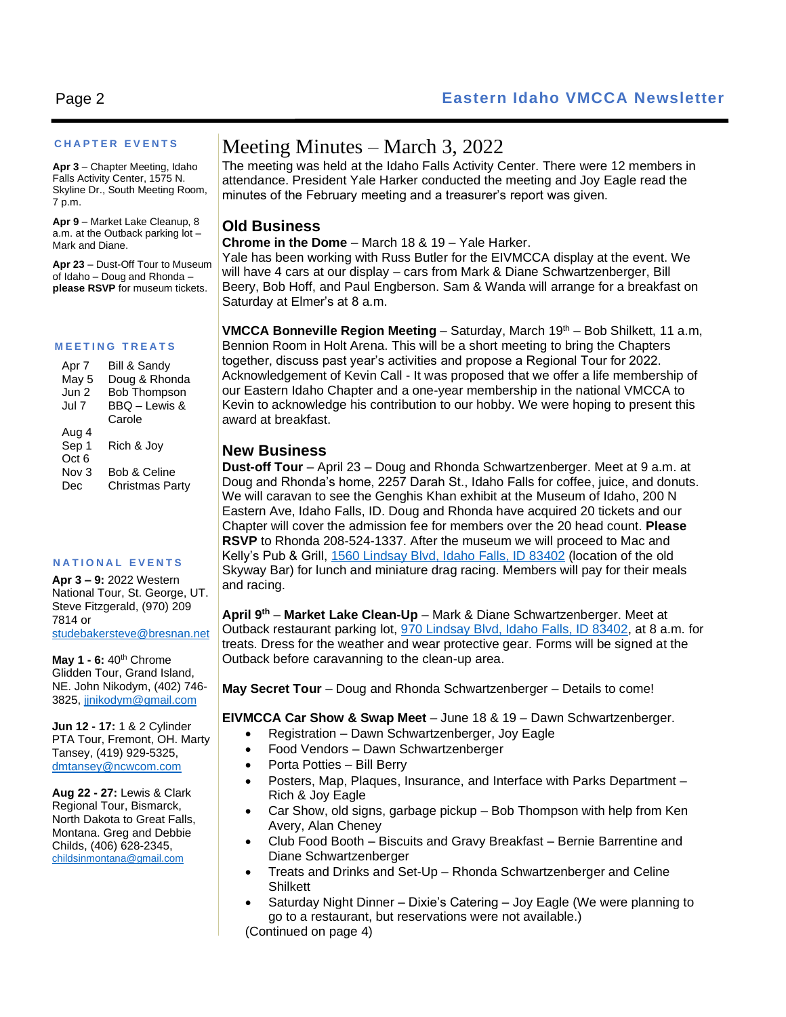#### **C H A P T E R E V E N T S**

**Apr 3** – Chapter Meeting, Idaho Falls Activity Center, 1575 N. Skyline Dr., South Meeting Room, 7 p.m.

**Apr 9** – Market Lake Cleanup, 8 a.m. at the Outback parking lot – Mark and Diane.

**Apr 23** – Dust-Off Tour to Museum of Idaho – Doug and Rhonda – **please RSVP** for museum tickets.

#### **M E E T I N G T R E A T S**

| Apr 7            | Bill & Sandy        |
|------------------|---------------------|
| May 5            | Doug & Rhonda       |
| Jun 2            | <b>Bob Thompson</b> |
| Jul 7            | BBQ - Lewis &       |
|                  | Carole              |
| Aug 4            |                     |
| Sep 1            | Rich & Joy          |
| Oct <sub>6</sub> |                     |
| Nov <sub>3</sub> | Bob & Celine        |
| Dec              | Christmas Party     |

#### **N A T I O N A L E V E N T S**

**Apr 3 – 9:** 2022 Western National Tour, St. George, UT. Steve Fitzgerald, (970) 209 7814 or [studebakersteve@bresnan.net](mailto:studebakersteve@bresnan.net)

**May 1 - 6:** 40th Chrome Glidden Tour, Grand Island, NE. John Nikodym, (402) 746- 3825[, jjnikodym@gmail.com](mailto:jjnikodym@gmail.com)

**Jun 12 - 17:** 1 & 2 Cylinder PTA Tour, Fremont, OH. Marty Tansey, (419) 929-5325, [dmtansey@ncwcom.com](mailto:dmtansey@ncwcom.com)

**Aug 22 - 27:** Lewis & Clark Regional Tour, Bismarck, North Dakota to Great Falls, Montana. Greg and Debbie Childs, (406) 628-2345, [childsinmontana@gmail.com](mailto:childsinmontana@gmail.com)

## Meeting Minutes – March 3, 2022

The meeting was held at the Idaho Falls Activity Center. There were 12 members in attendance. President Yale Harker conducted the meeting and Joy Eagle read the minutes of the February meeting and a treasurer's report was given.

## **Old Business**

#### **Chrome in the Dome** – March 18 & 19 – Yale Harker.

Yale has been working with Russ Butler for the EIVMCCA display at the event. We will have 4 cars at our display – cars from Mark & Diane Schwartzenberger, Bill Beery, Bob Hoff, and Paul Engberson. Sam & Wanda will arrange for a breakfast on Saturday at Elmer's at 8 a.m.

**VMCCA Bonneville Region Meeting** – Saturday, March 19<sup>th</sup> – Bob Shilkett, 11 a.m, Bennion Room in Holt Arena. This will be a short meeting to bring the Chapters together, discuss past year's activities and propose a Regional Tour for 2022. Acknowledgement of Kevin Call - It was proposed that we offer a life membership of our Eastern Idaho Chapter and a one-year membership in the national VMCCA to Kevin to acknowledge his contribution to our hobby. We were hoping to present this award at breakfast.

#### **New Business**

**Dust-off Tour** – April 23 – Doug and Rhonda Schwartzenberger. Meet at 9 a.m. at Doug and Rhonda's home, 2257 Darah St., Idaho Falls for coffee, juice, and donuts. We will caravan to see the Genghis Khan exhibit at the Museum of Idaho, 200 N Eastern Ave, Idaho Falls, ID. Doug and Rhonda have acquired 20 tickets and our Chapter will cover the admission fee for members over the 20 head count. **Please RSVP** to Rhonda 208-524-1337. After the museum we will proceed to Mac and Kelly's Pub & Grill, [1560 Lindsay Blvd, Idaho Falls, ID 83402](https://www.bing.com/local?lid=YN873x301975156753351083&id=YN873x301975156753351083&q=Mac+%27N+Kelly%27s+Pub+%26+Grill&name=Mac+%27N+Kelly%27s+Pub+%26+Grill&cp=43.509700775146484%7e-112.05531311035156&ppois=43.509700775146484_-112.05531311035156_Mac+%27N+Kelly%27s+Pub+%26+Grill) (location of the old Skyway Bar) for lunch and miniature drag racing. Members will pay for their meals and racing.

**April 9th** – **Market Lake Clean-Up** – Mark & Diane Schwartzenberger. Meet at Outback restaurant parking lot, [970 Lindsay Blvd, Idaho Falls, ID 83402,](https://www.bing.com/local?lid=YN260x5033832&id=YN260x5033832&q=Outback+Steakhouse&name=Outback+Steakhouse&cp=43.5046272277832%7e-112.05242156982422&ppois=43.5046272277832_-112.05242156982422_Outback+Steakhouse) at 8 a.m. for treats. Dress for the weather and wear protective gear. Forms will be signed at the Outback before caravanning to the clean-up area.

**May Secret Tour** – Doug and Rhonda Schwartzenberger – Details to come!

#### **EIVMCCA Car Show & Swap Meet** – June 18 & 19 – Dawn Schwartzenberger.

- Registration Dawn Schwartzenberger, Joy Eagle
- Food Vendors Dawn Schwartzenberger
- Porta Potties Bill Berry
- Posters, Map, Plaques, Insurance, and Interface with Parks Department Rich & Joy Eagle
- Car Show, old signs, garbage pickup Bob Thompson with help from Ken Avery, Alan Cheney
- Club Food Booth Biscuits and Gravy Breakfast Bernie Barrentine and Diane Schwartzenberger
- Treats and Drinks and Set-Up Rhonda Schwartzenberger and Celine **Shilkett**
- Saturday Night Dinner Dixie's Catering Joy Eagle (We were planning to go to a restaurant, but reservations were not available.) (Continued on page 4)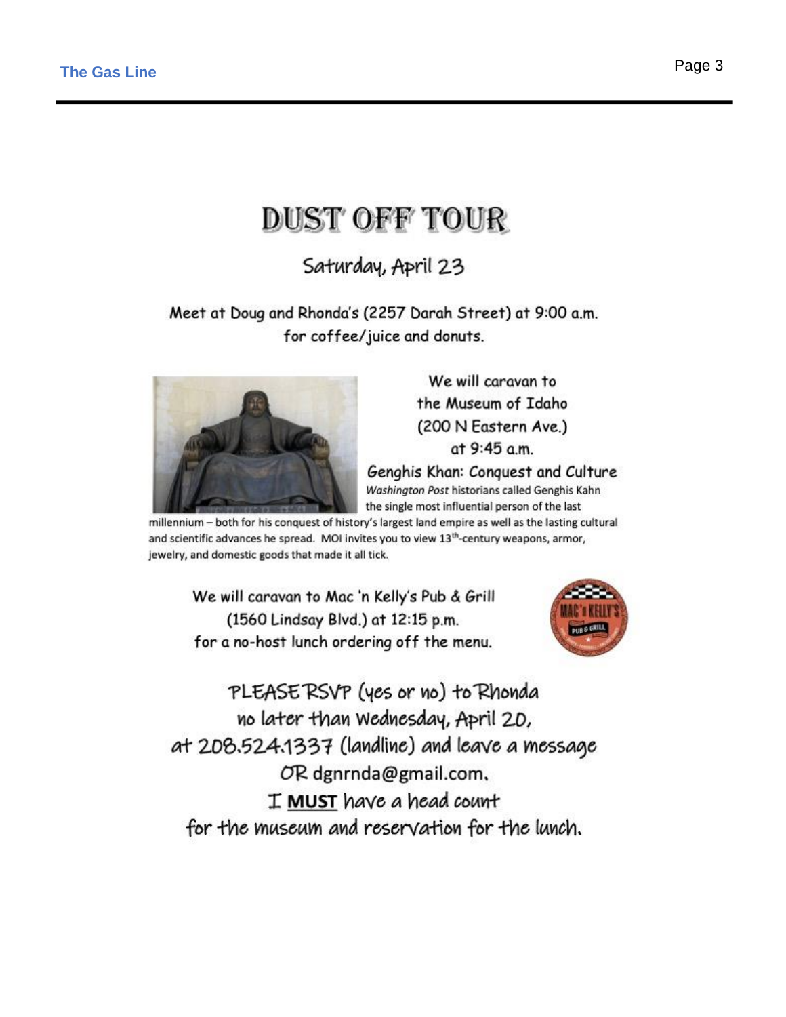# **DUST OFF TOUR**

Saturday, April 23

Meet at Doug and Rhonda's (2257 Darah Street) at 9:00 a.m. for coffee/juice and donuts.



We will caravan to the Museum of Idaho (200 N Eastern Ave.) at 9:45 a.m.

Genghis Khan: Conquest and Culture Washington Post historians called Genghis Kahn the single most influential person of the last

millennium - both for his conquest of history's largest land empire as well as the lasting cultural and scientific advances he spread. MOI invites you to view 13<sup>th</sup>-century weapons, armor, jewelry, and domestic goods that made it all tick.

We will caravan to Mac 'n Kelly's Pub & Grill (1560 Lindsay Blvd.) at 12:15 p.m. for a no-host lunch ordering off the menu.



PLEASERSVP (yes or no) to Rhonda no later than Wednesday, April 20, at 208.524.1337 (landline) and leave a message OR dgnrnda@gmail.com, I MUST have a head count for the museum and reservation for the lunch.